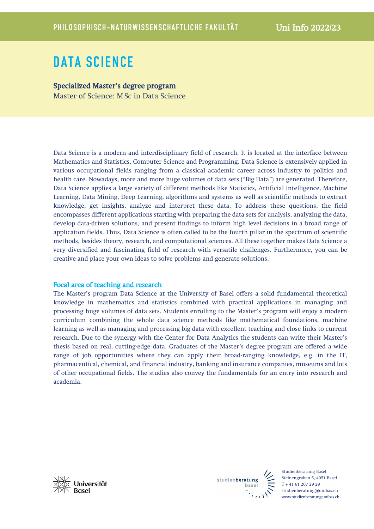# DATA SCIENCE

Specialized Master's degree program Master of Science: MSc in Data Science

Data Science is a modern and interdisciplinary field of research. It is located at the interface between Mathematics and Statistics, Computer Science and Programming. Data Science is extensively applied in various occupational fields ranging from a classical academic career across industry to politics and health care. Nowadays, more and more huge volumes of data sets ("Big Data") are generated. Therefore, Data Science applies a large variety of different methods like Statistics, Artificial Intelligence, Machine Learning, Data Mining, Deep Learning, algorithms and systems as well as scientific methods to extract knowledge, get insights, analyze and interpret these data. To address these questions, the field encompasses different applications starting with preparing the data sets for analysis, analyzing the data, develop data-driven solutions, and present findings to inform high level decisions in a broad range of application fields. Thus, Data Science is often called to be the fourth pillar in the spectrum of scientific methods, besides theory, research, and computational sciences. All these together makes Data Science a very diversified and fascinating field of research with versatile challenges. Furthermore, you can be creative and place your own ideas to solve problems and generate solutions.

## Focal area of teaching and research

The Master's program Data Science at the University of Basel offers a solid fundamental theoretical knowledge in mathematics and statistics combined with practical applications in managing and processing huge volumes of data sets. Students enrolling to the Master's program will enjoy a modern curriculum combining the whole data science methods like mathematical foundations, machine learning as well as managing and processing big data with excellent teaching and close links to current research. Due to the synergy with the Center for Data Analytics the students can write their Master's thesis based on real, cutting-edge data. Graduates of the Master's degree program are offered a wide range of job opportunities where they can apply their broad-ranging knowledge, e.g. in the IT, pharmaceutical, chemical, and financial industry, banking and insurance companies, museums and lots of other occupational fields. The studies also convey the fundamentals for an entry into research and academia.





Studienberatung Basel Steinengraben 5, 4051 Basel T + 41 61 207 29 29 studienberatung@unibas.ch www.studienberatung.unibas.ch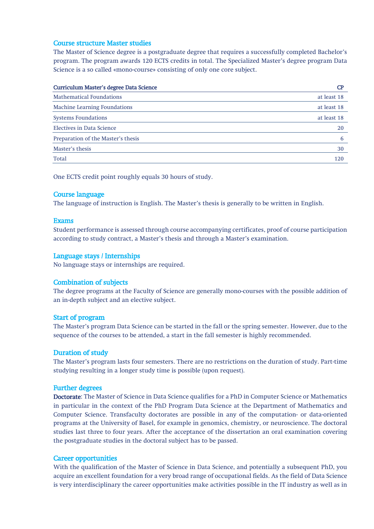## Course structure Master studies

The Master of Science degree is a postgraduate degree that requires a successfully completed Bachelor's program. The program awards 120 ECTS credits in total. The Specialized Master's degree program Data Science is a so called «mono-course» consisting of only one core subject.

| Curriculum Master's degree Data Science |             |
|-----------------------------------------|-------------|
| <b>Mathematical Foundations</b>         | at least 18 |
| <b>Machine Learning Foundations</b>     | at least 18 |
| <b>Systems Foundations</b>              | at least 18 |
| Electives in Data Science               | 20          |
| Preparation of the Master's thesis      | 6           |
| Master's thesis                         | 30          |
| Total                                   | 120         |

One ECTS credit point roughly equals 30 hours of study.

#### Course language

The language of instruction is English. The Master's thesis is generally to be written in English.

#### Exams

Student performance is assessed through course accompanying certificates, proof of course participation according to study contract, a Master's thesis and through a Master's examination.

#### Language stays / Internships

No language stays or internships are required.

#### Combination of subjects

The degree programs at the Faculty of Science are generally mono-courses with the possible addition of an in-depth subject and an elective subject.

#### Start of program

The Master's program Data Science can be started in the fall or the spring semester. However, due to the sequence of the courses to be attended, a start in the fall semester is highly recommended.

## Duration of study

The Master's program lasts four semesters. There are no restrictions on the duration of study. Part-time studying resulting in a longer study time is possible (upon request).

#### Further degrees

Doctorate: The Master of Science in Data Science qualifies for a PhD in Computer Science or Mathematics in particular in the context of the PhD Program Data Science at the Department of Mathematics and Computer Science. Transfaculty doctorates are possible in any of the computation- or data-oriented programs at the University of Basel, for example in genomics, chemistry, or neuroscience. The doctoral studies last three to four years. After the acceptance of the dissertation an oral examination covering the postgraduate studies in the doctoral subject has to be passed.

#### Career opportunities

With the qualification of the Master of Science in Data Science, and potentially a subsequent PhD, you acquire an excellent foundation for a very broad range of occupational fields. As the field of Data Science is very interdisciplinary the career opportunities make activities possible in the IT industry as well as in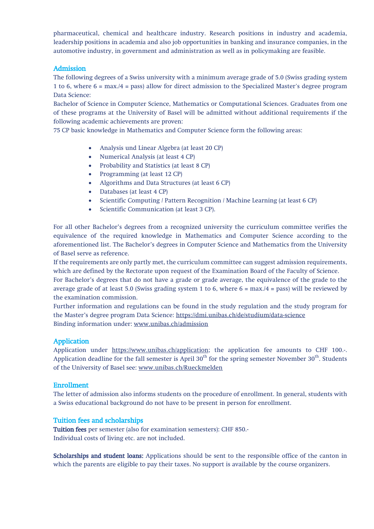pharmaceutical, chemical and healthcare industry. Research positions in industry and academia, leadership positions in academia and also job opportunities in banking and insurance companies, in the automotive industry, in government and administration as well as in policymaking are feasible.

## Admission

The following degrees of a Swiss university with a minimum average grade of 5.0 (Swiss grading system 1 to 6, where 6 = max./4 = pass) allow for direct admission to the Specialized Master's degree program Data Science:

Bachelor of Science in Computer Science, Mathematics or Computational Sciences. Graduates from one of these programs at the University of Basel will be admitted without additional requirements if the following academic achievements are proven:

75 CP basic knowledge in Mathematics and Computer Science form the following areas:

- Analysis und Linear Algebra (at least 20 CP)
- Numerical Analysis (at least 4 CP)
- Probability and Statistics (at least 8 CP)
- Programming (at least 12 CP)
- Algorithms and Data Structures (at least 6 CP)
- Databases (at least 4 CP)
- Scientific Computing / Pattern Recognition / Machine Learning (at least 6 CP)
- Scientific Communication (at least 3 CP).

For all other Bachelor's degrees from a recognized university the curriculum committee verifies the equivalence of the required knowledge in Mathematics and Computer Science according to the aforementioned list. The Bachelor's degrees in Computer Science and Mathematics from the University of Basel serve as reference.

If the requirements are only partly met, the curriculum committee can suggest admission requirements, which are defined by the Rectorate upon request of the Examination Board of the Faculty of Science.

For Bachelor's degrees that do not have a grade or grade average, the equivalence of the grade to the average grade of at least 5.0 (Swiss grading system 1 to 6, where  $6 = \max/4 = \text{pass}$ ) will be reviewed by the examination commission.

Further information and regulations can be found in the study regulation and the study program for the Master's degree program Data Science:<https://dmi.unibas.ch/de/studium/data-science> Binding information under: [www.unibas.ch/admission](https://www.unibas.ch/en/Studies/Application-Admission/Admission.html)

## Application

Application under [https://www.unibas.ch/application;](https://www.unibas.ch/en/Studies/Application-Admission/Application.html) the application fee amounts to CHF 100.-. Application deadline for the fall semester is April  $30<sup>th</sup>$  for the spring semester November  $30<sup>th</sup>$ . Students of the University of Basel see: [www.unibas.ch/Rueckmelden](https://www.unibas.ch/en/Studies/My-Studies/Semester-Registration/Master-s-Degree-Program-Immediately-Upon-Graduation.html)

## Enrollment

The letter of admission also informs students on the procedure of enrollment. In general, students with a Swiss educational background do not have to be present in person for enrollment.

## Tuition fees and scholarships

Tuition fees per semester (also for examination semesters): CHF 850.- Individual costs of living etc. are not included.

Scholarships and student loans: Applications should be sent to the responsible office of the canton in which the parents are eligible to pay their taxes. No support is available by the course organizers.